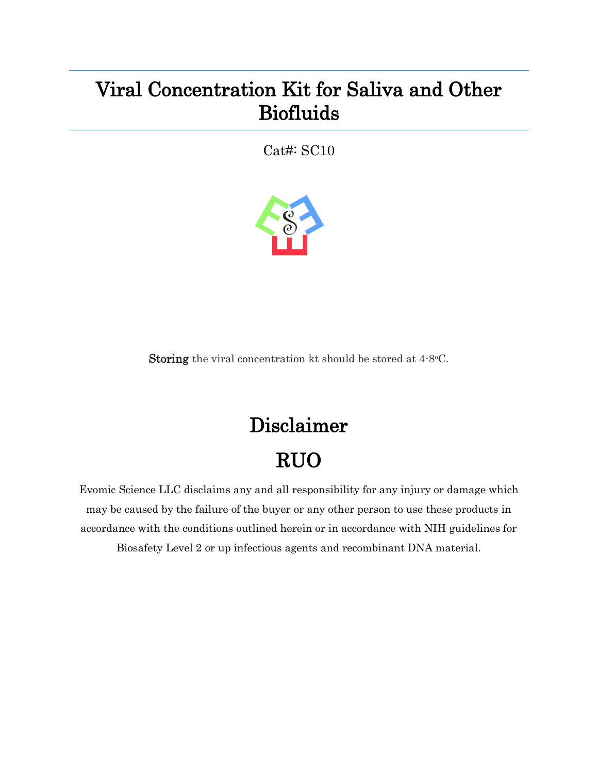## Viral Concentration Kit for Saliva and Other Biofluids

Cat#: SC10



Storing the viral concentration kt should be stored at 4-8°C.

## Disclaimer RUO

Evomic Science LLC disclaims any and all responsibility for any injury or damage which may be caused by the failure of the buyer or any other person to use these products in accordance with the conditions outlined herein or in accordance with NIH guidelines for Biosafety Level 2 or up infectious agents and recombinant DNA material.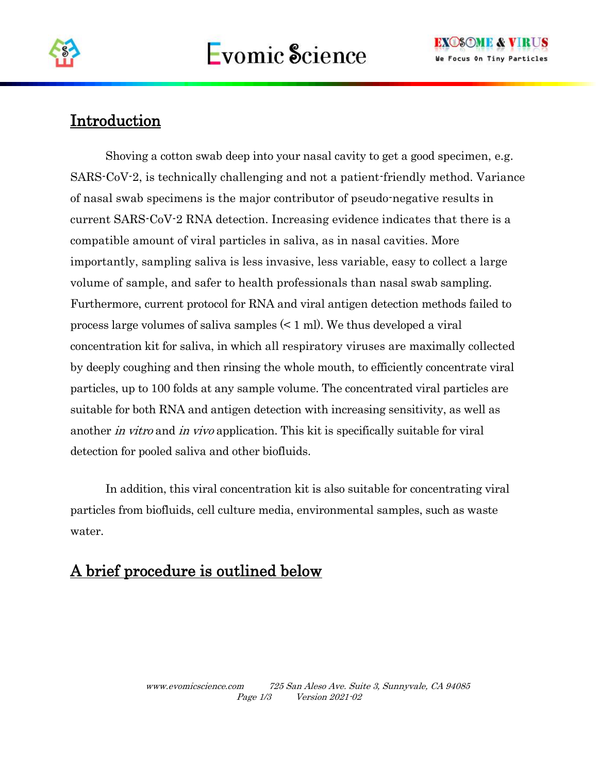

## **Introduction**

Shoving a cotton swab deep into your nasal cavity to get a good specimen, e.g. SARS-CoV-2, is technically challenging and not a patient-friendly method. Variance of nasal swab specimens is the major contributor of pseudo-negative results in current SARS-CoV-2 RNA detection. Increasing evidence indicates that there is a compatible amount of viral particles in saliva, as in nasal cavities. More importantly, sampling saliva is less invasive, less variable, easy to collect a large volume of sample, and safer to health professionals than nasal swab sampling. Furthermore, current protocol for RNA and viral antigen detection methods failed to process large volumes of saliva samples (< 1 ml). We thus developed a viral concentration kit for saliva, in which all respiratory viruses are maximally collected by deeply coughing and then rinsing the whole mouth, to efficiently concentrate viral particles, up to 100 folds at any sample volume. The concentrated viral particles are suitable for both RNA and antigen detection with increasing sensitivity, as well as another *in vitro* and *in vivo* application. This kit is specifically suitable for viral detection for pooled saliva and other biofluids.

In addition, this viral concentration kit is also suitable for concentrating viral particles from biofluids, cell culture media, environmental samples, such as waste water.

## A brief procedure is outlined below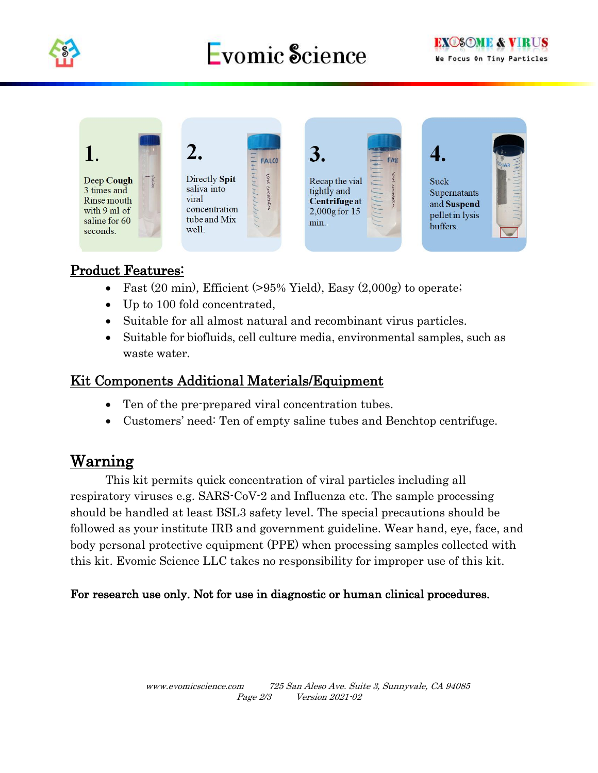

# Evomic Science



#### Product Features:

- Fast  $(20 \text{ min})$ , Efficient  $(>95\% \text{ Yield})$ , Easy  $(2,000g)$  to operate;
- Up to 100 fold concentrated,
- Suitable for all almost natural and recombinant virus particles.
- Suitable for biofluids, cell culture media, environmental samples, such as waste water.

#### Kit Components Additional Materials/Equipment

- Ten of the pre-prepared viral concentration tubes.
- Customers' need: Ten of empty saline tubes and Benchtop centrifuge.

### Warning

This kit permits quick concentration of viral particles including all respiratory viruses e.g. SARS-CoV-2 and Influenza etc. The sample processing should be handled at least BSL3 safety level. The special precautions should be followed as your institute IRB and government guideline. Wear hand, eye, face, and body personal protective equipment (PPE) when processing samples collected with this kit. Evomic Science LLC takes no responsibility for improper use of this kit.

#### For research use only. Not for use in diagnostic or human clinical procedures.